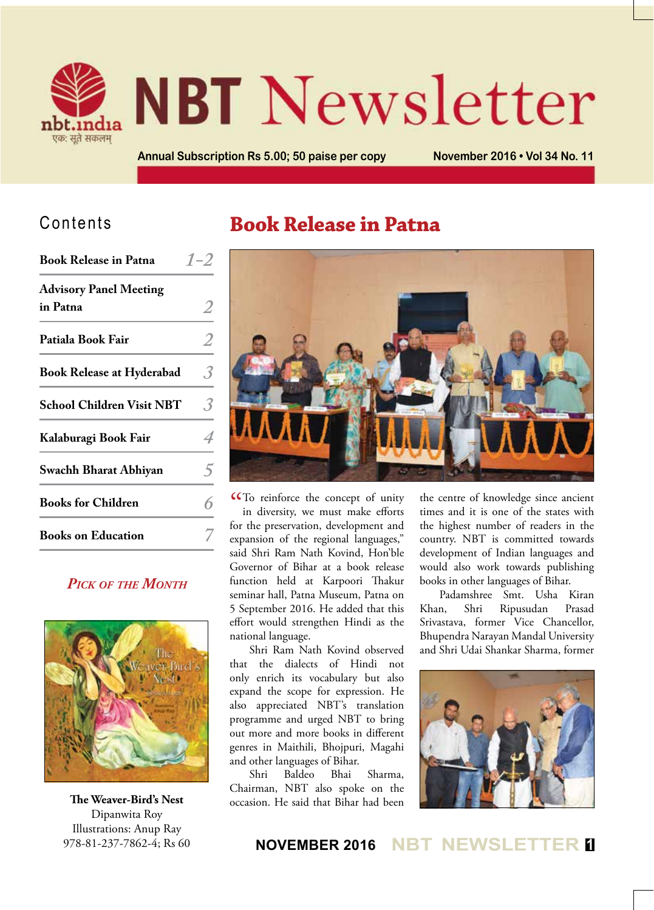

# **NBT** Newsletter

**Annual Subscription Rs 5.00; 50 paise per copy November 2016 • Vol 34 No. 11**

## Contents

| <b>Advisory Panel Meeting</b><br>in Patna<br>Patiala Book Fair<br><b>Book Release at Hyderabad</b><br><b>School Children Visit NBT</b> |   |
|----------------------------------------------------------------------------------------------------------------------------------------|---|
|                                                                                                                                        |   |
|                                                                                                                                        | 2 |
|                                                                                                                                        | 3 |
|                                                                                                                                        | 3 |
| Kalaburagi Book Fair                                                                                                                   |   |
| Swachh Bharat Abhiyan                                                                                                                  |   |
| <b>Books for Children</b>                                                                                                              |   |
| <b>Books on Education</b>                                                                                                              |   |

#### *Pick of the Month*



**The Weaver-Bird's Nest** Dipanwita Roy Illustrations: Anup Ray 978-81-237-7862-4; Rs 60

## **Book Release in Patna**



CCTo reinforce the concept of unity<br>in diversity, we must make efforts in diversity, we must make efforts for the preservation, development and expansion of the regional languages," said Shri Ram Nath Kovind, Hon'ble Governor of Bihar at a book release function held at Karpoori Thakur seminar hall, Patna Museum, Patna on 5 September 2016. He added that this effort would strengthen Hindi as the national language.

Shri Ram Nath Kovind observed that the dialects of Hindi not only enrich its vocabulary but also expand the scope for expression. He also appreciated NBT's translation programme and urged NBT to bring out more and more books in different genres in Maithili, Bhojpuri, Magahi and other languages of Bihar.

Shri Baldeo Bhai Sharma, Chairman, NBT also spoke on the occasion. He said that Bihar had been

the centre of knowledge since ancient times and it is one of the states with the highest number of readers in the country. NBT is committed towards development of Indian languages and would also work towards publishing books in other languages of Bihar.

Padamshree Smt. Usha Kiran Khan, Shri Ripusudan Prasad Srivastava, former Vice Chancellor, Bhupendra Narayan Mandal University and Shri Udai Shankar Sharma, former

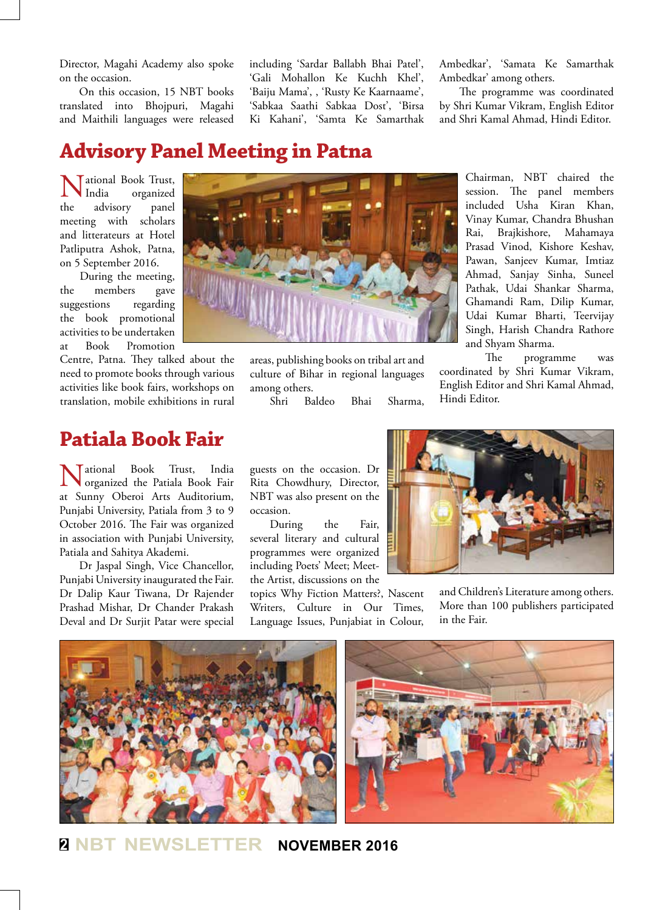Director, Magahi Academy also spoke on the occasion.

On this occasion, 15 NBT books translated into Bhojpuri, Magahi and Maithili languages were released including 'Sardar Ballabh Bhai Patel', 'Gali Mohallon Ke Kuchh Khel', 'Baiju Mama', , 'Rusty Ke Kaarnaame', 'Sabkaa Saathi Sabkaa Dost', 'Birsa Ki Kahani', 'Samta Ke Samarthak Ambedkar', 'Samata Ke Samarthak Ambedkar' among others.

The programme was coordinated by Shri Kumar Vikram, English Editor and Shri Kamal Ahmad, Hindi Editor.

> Chairman, NBT chaired the session. The panel members included Usha Kiran Khan,

## **Advisory Panel Meeting in Patna**

**National Book Trust,<br>
India** organized<br>
the advisory panel organized advisory meeting with scholars and litterateurs at Hotel Patliputra Ashok, Patna, on 5 September 2016.

During the meeting, the members gave suggestions regarding the book promotional activities to be undertaken at Book Promotion

Centre, Patna. They talked about the need to promote books through various activities like book fairs, workshops on translation, mobile exhibitions in rural

## **Patiala Book Fair**

National Book Trust, India organized the Patiala Book Fair at Sunny Oberoi Arts Auditorium, Punjabi University, Patiala from 3 to 9 October 2016. The Fair was organized in association with Punjabi University, Patiala and Sahitya Akademi.

Dr Jaspal Singh, Vice Chancellor, Punjabi University inaugurated the Fair. Dr Dalip Kaur Tiwana, Dr Rajender Prashad Mishar, Dr Chander Prakash Deval and Dr Surjit Patar were special



areas, publishing books on tribal art and culture of Bihar in regional languages among others.

Shri Baldeo Bhai Sharma,

Vinay Kumar, Chandra Bhushan Rai, Brajkishore, Mahamaya Prasad Vinod, Kishore Keshav, Pawan, Sanjeev Kumar, Imtiaz Ahmad, Sanjay Sinha, Suneel Pathak, Udai Shankar Sharma, Ghamandi Ram, Dilip Kumar, Udai Kumar Bharti, Teervijay Singh, Harish Chandra Rathore and Shyam Sharma. The programme was

coordinated by Shri Kumar Vikram, English Editor and Shri Kamal Ahmad, Hindi Editor.

guests on the occasion. Dr Rita Chowdhury, Director, NBT was also present on the occasion.

During the Fair, several literary and cultural programmes were organized including Poets' Meet; Meetthe Artist, discussions on the

topics Why Fiction Matters?, Nascent Writers, Culture in Our Times, Language Issues, Punjabiat in Colour,



and Children's Literature among others. More than 100 publishers participated in the Fair.



**<sup>2</sup> NBT NEWSLETTER NOVEMBER 2016**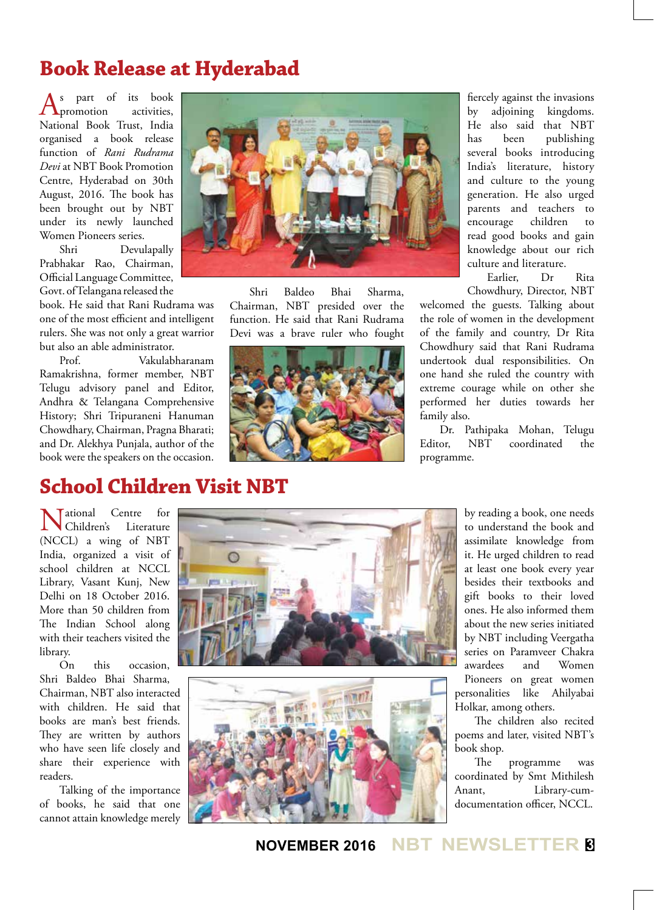## **Book Release at Hyderabad**

s part of its book<br>promotion activities.  $\Lambda$ promotion National Book Trust, India organised a book release function of *Rani Rudrama Devi* at NBT Book Promotion Centre, Hyderabad on 30th August, 2016. The book has been brought out by NBT under its newly launched Women Pioneers series.

Shri Devulapally Prabhakar Rao, Chairman, Official Language Committee, Govt. of Telangana released the

book. He said that Rani Rudrama was one of the most efficient and intelligent rulers. She was not only a great warrior but also an able administrator.

Prof. Vakulabharanam Ramakrishna, former member, NBT Telugu advisory panel and Editor, Andhra & Telangana Comprehensive History; Shri Tripuraneni Hanuman Chowdhary, Chairman, Pragna Bharati; and Dr. Alekhya Punjala, author of the book were the speakers on the occasion.



Shri Baldeo Bhai Sharma, Chairman, NBT presided over the function. He said that Rani Rudrama Devi was a brave ruler who fought



fiercely against the invasions by adjoining kingdoms. He also said that NBT has been publishing several books introducing India's literature, history and culture to the young generation. He also urged parents and teachers to encourage children to read good books and gain knowledge about our rich culture and literature.

Earlier, Dr Rita Chowdhury, Director, NBT

welcomed the guests. Talking about the role of women in the development of the family and country, Dr Rita Chowdhury said that Rani Rudrama undertook dual responsibilities. On one hand she ruled the country with extreme courage while on other she performed her duties towards her family also.

Dr. Pathipaka Mohan, Telugu Editor, NBT coordinated the programme.

## **School Children Visit NBT**

National Centre for Children's Literature (NCCL) a wing of NBT India, organized a visit of school children at NCCL Library, Vasant Kunj, New Delhi on 18 October 2016. More than 50 children from The Indian School along with their teachers visited the library.

On this occasion, Shri Baldeo Bhai Sharma, Chairman, NBT also interacted with children. He said that books are man's best friends. They are written by authors who have seen life closely and share their experience with readers.

Talking of the importance of books, he said that one cannot attain knowledge merely





by reading a book, one needs to understand the book and assimilate knowledge from it. He urged children to read at least one book every year besides their textbooks and gift books to their loved ones. He also informed them about the new series initiated by NBT including Veergatha series on Paramveer Chakra awardees and Women Pioneers on great women personalities like Ahilyabai Holkar, among others.

The children also recited poems and later, visited NBT's book shop.

The programme was coordinated by Smt Mithilesh Anant, Library-cumdocumentation officer, NCCL.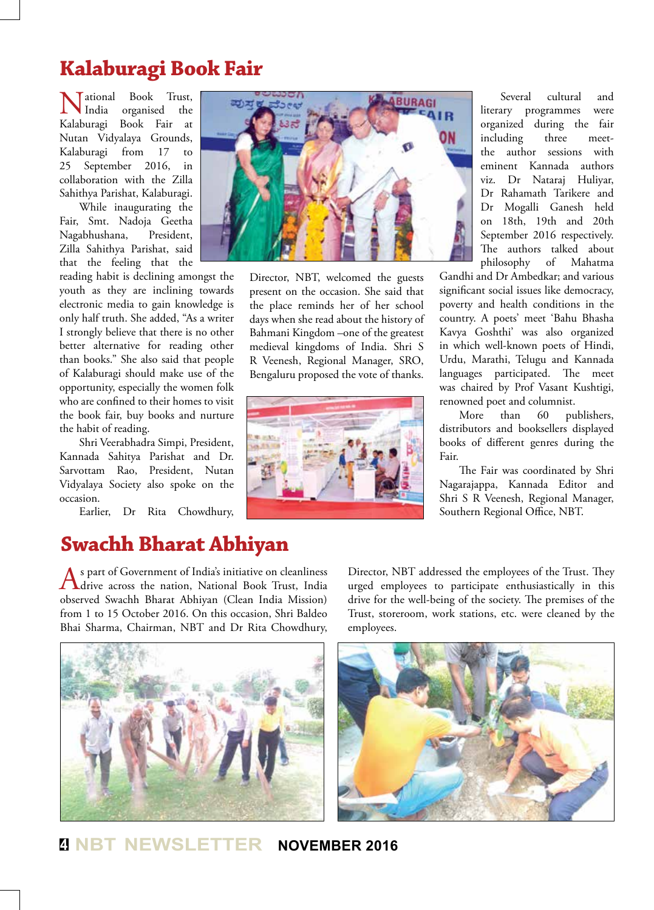## **Kalaburagi Book Fair**

National Book Trust, Kalaburagi Book Fair at India organised the Nutan Vidyalaya Grounds, Kalaburagi from 17 to 25 September 2016, in collaboration with the Zilla Sahithya Parishat, Kalaburagi.

While inaugurating the Fair, Smt. Nadoja Geetha Nagabhushana, President, Zilla Sahithya Parishat, said that the feeling that the

reading habit is declining amongst the youth as they are inclining towards electronic media to gain knowledge is only half truth. She added, "As a writer I strongly believe that there is no other better alternative for reading other than books." She also said that people of Kalaburagi should make use of the opportunity, especially the women folk who are confined to their homes to visit the book fair, buy books and nurture the habit of reading.

Shri Veerabhadra Simpi, President, Kannada Sahitya Parishat and Dr. Sarvottam Rao, President, Nutan Vidyalaya Society also spoke on the occasion.

Earlier, Dr Rita Chowdhury,

## **Swachh Bharat Abhiyan**

As part of Government of India's initiative on cleanliness<br>drive across the nation, National Book Trust, India<br>drive and Linux (Glass Linux) observed Swachh Bharat Abhiyan (Clean India Mission) from 1 to 15 October 2016. On this occasion, Shri Baldeo Bhai Sharma, Chairman, NBT and Dr Rita Chowdhury,



Director, NBT, welcomed the guests present on the occasion. She said that the place reminds her of her school days when she read about the history of Bahmani Kingdom –one of the greatest medieval kingdoms of India. Shri S R Veenesh, Regional Manager, SRO, Bengaluru proposed the vote of thanks.



Several cultural and literary programmes were organized during the fair including three meetthe author sessions with eminent Kannada authors viz. Dr Nataraj Huliyar, Dr Rahamath Tarikere and Dr Mogalli Ganesh held on 18th, 19th and 20th September 2016 respectively. The authors talked about philosophy of Mahatma

Gandhi and Dr Ambedkar; and various significant social issues like democracy, poverty and health conditions in the country. A poets' meet 'Bahu Bhasha Kavya Goshthi' was also organized in which well-known poets of Hindi, Urdu, Marathi, Telugu and Kannada languages participated. The meet was chaired by Prof Vasant Kushtigi, renowned poet and columnist.

More than 60 publishers, distributors and booksellers displayed books of different genres during the Fair.

The Fair was coordinated by Shri Nagarajappa, Kannada Editor and Shri S R Veenesh, Regional Manager, Southern Regional Office, NBT.

Director, NBT addressed the employees of the Trust. They urged employees to participate enthusiastically in this drive for the well-being of the society. The premises of the Trust, storeroom, work stations, etc. were cleaned by the employees.





**<sup>4</sup> NBT NEWSLETTER NOVEMBER 2016**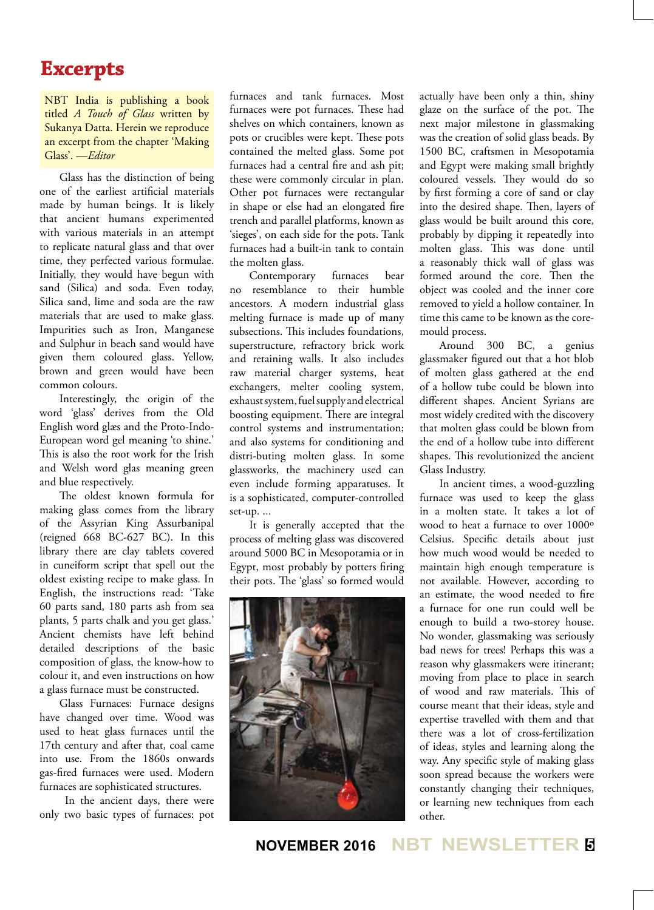## **Excerpts**

NBT India is publishing a book titled *A Touch of Glass* written by Sukanya Datta. Herein we reproduce an excerpt from the chapter 'Making Glass'. —*Editor*

Glass has the distinction of being one of the earliest artificial materials made by human beings. It is likely that ancient humans experimented with various materials in an attempt to replicate natural glass and that over time, they perfected various formulae. Initially, they would have begun with sand (Silica) and soda. Even today, Silica sand, lime and soda are the raw materials that are used to make glass. Impurities such as Iron, Manganese and Sulphur in beach sand would have given them coloured glass. Yellow, brown and green would have been common colours.

Interestingly, the origin of the word 'glass' derives from the Old English word glæs and the Proto-Indo-European word gel meaning 'to shine.' This is also the root work for the Irish and Welsh word glas meaning green and blue respectively.

The oldest known formula for making glass comes from the library of the Assyrian King Assurbanipal (reigned 668 BC-627 BC). In this library there are clay tablets covered in cuneiform script that spell out the oldest existing recipe to make glass. In English, the instructions read: 'Take 60 parts sand, 180 parts ash from sea plants, 5 parts chalk and you get glass.' Ancient chemists have left behind detailed descriptions of the basic composition of glass, the know-how to colour it, and even instructions on how a glass furnace must be constructed.

Glass Furnaces: Furnace designs have changed over time. Wood was used to heat glass furnaces until the 17th century and after that, coal came into use. From the 1860s onwards gas-fired furnaces were used. Modern furnaces are sophisticated structures.

 In the ancient days, there were only two basic types of furnaces: pot

furnaces and tank furnaces. Most furnaces were pot furnaces. These had shelves on which containers, known as pots or crucibles were kept. These pots contained the melted glass. Some pot furnaces had a central fire and ash pit; these were commonly circular in plan. Other pot furnaces were rectangular in shape or else had an elongated fire trench and parallel platforms, known as 'sieges', on each side for the pots. Tank furnaces had a built-in tank to contain the molten glass.

Contemporary furnaces bear no resemblance to their humble ancestors. A modern industrial glass melting furnace is made up of many subsections. This includes foundations, superstructure, refractory brick work and retaining walls. It also includes raw material charger systems, heat exchangers, melter cooling system, exhaust system, fuel supply and electrical boosting equipment. There are integral control systems and instrumentation; and also systems for conditioning and distri-buting molten glass. In some glassworks, the machinery used can even include forming apparatuses. It is a sophisticated, computer-controlled set-up. ...

It is generally accepted that the process of melting glass was discovered around 5000 BC in Mesopotamia or in Egypt, most probably by potters firing their pots. The 'glass' so formed would



actually have been only a thin, shiny glaze on the surface of the pot. The next major milestone in glassmaking was the creation of solid glass beads. By 1500 BC, craftsmen in Mesopotamia and Egypt were making small brightly coloured vessels. They would do so by first forming a core of sand or clay into the desired shape. Then, layers of glass would be built around this core, probably by dipping it repeatedly into molten glass. This was done until a reasonably thick wall of glass was formed around the core. Then the object was cooled and the inner core removed to yield a hollow container. In time this came to be known as the coremould process.

Around 300 BC, a genius glassmaker figured out that a hot blob of molten glass gathered at the end of a hollow tube could be blown into different shapes. Ancient Syrians are most widely credited with the discovery that molten glass could be blown from the end of a hollow tube into different shapes. This revolutionized the ancient Glass Industry.

In ancient times, a wood-guzzling furnace was used to keep the glass in a molten state. It takes a lot of wood to heat a furnace to over 1000º Celsius. Specific details about just how much wood would be needed to maintain high enough temperature is not available. However, according to an estimate, the wood needed to fire a furnace for one run could well be enough to build a two-storey house. No wonder, glassmaking was seriously bad news for trees! Perhaps this was a reason why glassmakers were itinerant; moving from place to place in search of wood and raw materials. This of course meant that their ideas, style and expertise travelled with them and that there was a lot of cross-fertilization of ideas, styles and learning along the way. Any specific style of making glass soon spread because the workers were constantly changing their techniques, or learning new techniques from each other.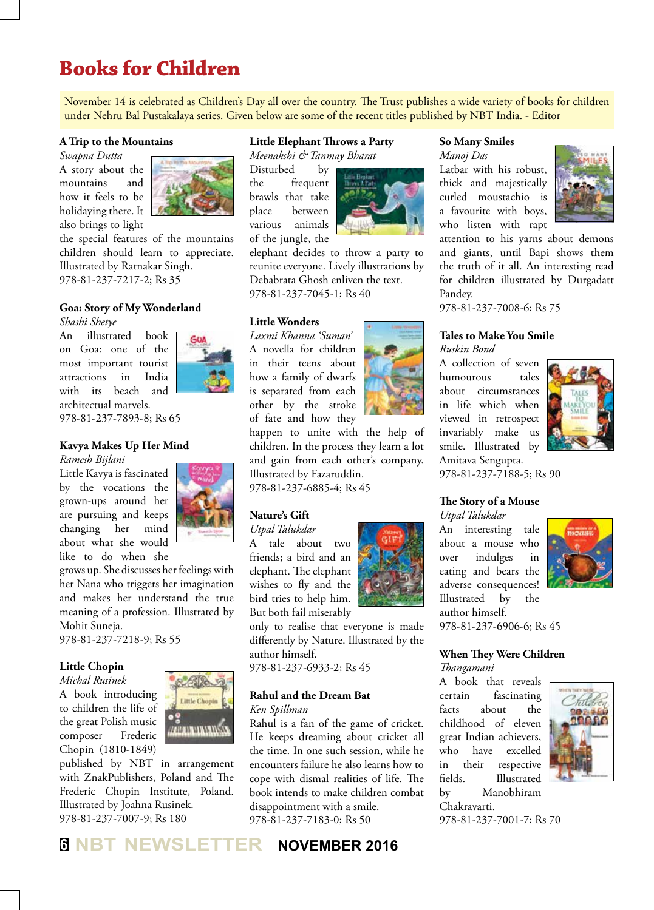## **Books for Children**

November 14 is celebrated as Children's Day all over the country. The Trust publishes a wide variety of books for children under Nehru Bal Pustakalaya series. Given below are some of the recent titles published by NBT India. - Editor

#### **A Trip to the Mountains**

*Swapna Dutta* A story about the mountains and how it feels to be holidaying there. It also brings to light



the special features of the mountains children should learn to appreciate. Illustrated by Ratnakar Singh. 978-81-237-7217-2; Rs 35

#### **Goa: Story of My Wonderland**

*Shashi Shetye*

An illustrated book on Goa: one of the most important tourist



attractions in India with its beach and architectual marvels. 978-81-237-7893-8; Rs 65

#### **Kavya Makes Up Her Mind**

*Ramesh Bijlani*

Little Kavya is fascinated by the vocations the grown-ups around her are pursuing and keeps changing her mind about what she would like to do when she



grows up. She discusses her feelings with her Nana who triggers her imagination and makes her understand the true meaning of a profession. Illustrated by Mohit Suneja.

978-81-237-7218-9; Rs 55

#### **Little Chopin**

*Michal Rusinek*

A book introducing to children the life of the great Polish music composer Frederic Chopin (1810-1849)



published by NBT in arrangement with ZnakPublishers, Poland and The Frederic Chopin Institute, Poland. Illustrated by Joahna Rusinek. 978-81-237-7007-9; Rs 180

## **Little Elephant Throws a Party**

*Meenakshi & Tanmay Bharat*

Disturbed by the frequent brawls that take place between various animals of the jungle, the



elephant decides to throw a party to reunite everyone. Lively illustrations by Debabrata Ghosh enliven the text. 978-81-237-7045-1; Rs 40

#### **Little Wonders**

*Laxmi Khanna 'Suman'* A novella for children in their teens about how a family of dwarfs is separated from each other by the stroke of fate and how they

happen to unite with the help of children. In the process they learn a lot and gain from each other's company. Illustrated by Fazaruddin. 978-81-237-6885-4; Rs 45

#### **Nature's Gift**

*Utpal Talukdar*

A tale about two friends; a bird and an elephant. The elephant wishes to fly and the bird tries to help him. But both fail miserably

only to realise that everyone is made differently by Nature. Illustrated by the author himself.

978-81-237-6933-2; Rs 45

#### **Rahul and the Dream Bat** *Ken Spillman*

Rahul is a fan of the game of cricket. He keeps dreaming about cricket all the time. In one such session, while he encounters failure he also learns how to cope with dismal realities of life. The book intends to make children combat disappointment with a smile. 978-81-237-7183-0; Rs 50

#### **So Many Smiles**

*Manoj Das* Latbar with his robust, thick and majestically curled moustachio is a favourite with boys, who listen with rapt



attention to his yarns about demons and giants, until Bapi shows them the truth of it all. An interesting read for children illustrated by Durgadatt Pandey.

978-81-237-7008-6; Rs 75

#### **Tales to Make You Smile** *Ruskin Bond*

A collection of seven humourous tales about circumstances in life which when viewed in retrospect invariably make us smile. Illustrated by Amitava Sengupta.



978-81-237-7188-5; Rs 90

#### **The Story of a Mouse**

*Utpal Talukdar* An interesting tale about a mouse who over indulges in eating and bears the adverse consequences! Illustrated by the author himself. 978-81-237-6906-6; Rs 45



**When They Were Children**

*Thangamani*

A book that reveals certain fascinating facts about the childhood of eleven great Indian achievers, who have excelled in their respective fields. Illustrated by Manobhiram Chakravarti.



978-81-237-7001-7; Rs 70

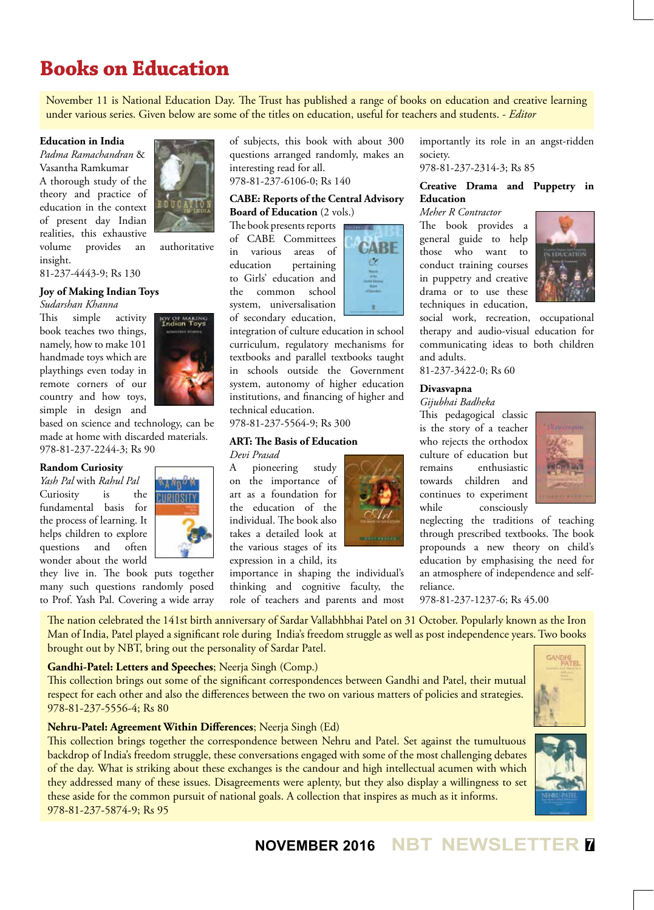## **Books on Education**

November 11 is National Education Day. The Trust has published a range of books on education and creative learning under various series. Given below are some of the titles on education, useful for teachers and students. - *Editor*

#### **Education in India**

*Padma Ramachandran* & Vasantha Ramkumar A thorough study of the theory and practice of education in the context of present day Indian realities, this exhaustive volume provides an authoritative insight.



ον σε ΜΑΚΙ!<br>Indian Τον

81-237-4443-9; Rs 130

#### **Joy of Making Indian Toys**

*Sudarshan Khanna*

This simple activity book teaches two things, namely, how to make 101 handmade toys which are playthings even today in remote corners of our country and how toys, simple in design and

based on science and technology, can be made at home with discarded materials. 978-81-237-2244-3; Rs 90

#### **Random Curiosity**

*Yash Pal* with *Rahul Pal* Curiosity is the fundamental basis for the process of learning. It helps children to explore questions and often wonder about the world



they live in. The book puts together many such questions randomly posed to Prof. Yash Pal. Covering a wide array

of subjects, this book with about 300 questions arranged randomly, makes an interesting read for all. 978-81-237-6106-0; Rs 140

#### **CABE: Reports of the Central Advisory Board of Education** (2 vols.)

The book presents reports of CABE Committees in various areas of education pertaining to Girls' education and the common school system, universalisation of secondary education,

integration of culture education in school curriculum, regulatory mechanisms for textbooks and parallel textbooks taught in schools outside the Government system, autonomy of higher education institutions, and financing of higher and technical education.

978-81-237-5564-9; Rs 300

#### **ART: The Basis of Education**

*Devi Prasad*

A pioneering study on the importance of art as a foundation for the education of the individual. The book also takes a detailed look at the various stages of its expression in a child, its

importance in shaping the individual's thinking and cognitive faculty, the role of teachers and parents and most



importantly its role in an angst-ridden society.

978-81-237-2314-3; Rs 85

#### **Creative Drama and Puppetry in Education**

*Meher R Contractor* The book provides a general guide to help those who want to conduct training courses in puppetry and creative drama or to use these techniques in education, social work, recreation, occupational therapy and audio-visual education for communicating ideas to both children



81-237-3422-0; Rs 60

#### **Divasvapna**

and adults.

#### *Gijubhai Badheka*

This pedagogical classic is the story of a teacher who rejects the orthodox culture of education but remains enthusiastic towards children and continues to experiment while consciously



neglecting the traditions of teaching through prescribed textbooks. The book propounds a new theory on child's education by emphasising the need for an atmosphere of independence and selfreliance.

978-81-237-1237-6; Rs 45.00

The nation celebrated the 141st birth anniversary of Sardar Vallabhbhai Patel on 31 October. Popularly known as the Iron Man of India, Patel played a significant role during India's freedom struggle as well as post independence years. Two books brought out by NBT, bring out the personality of Sardar Patel.

#### **Gandhi-Patel: Letters and Speeches**; Neerja Singh (Comp.)

This collection brings out some of the significant correspondences between Gandhi and Patel, their mutual respect for each other and also the differences between the two on various matters of policies and strategies. 978-81-237-5556-4; Rs 80

#### **Nehru-Patel: Agreement Within Differences**; Neerja Singh (Ed)

This collection brings together the correspondence between Nehru and Patel. Set against the tumultuous backdrop of India's freedom struggle, these conversations engaged with some of the most challenging debates of the day. What is striking about these exchanges is the candour and high intellectual acumen with which they addressed many of these issues. Disagreements were aplenty, but they also display a willingness to set these aside for the common pursuit of national goals. A collection that inspires as much as it informs. 978-81-237-5874-9; Rs 95